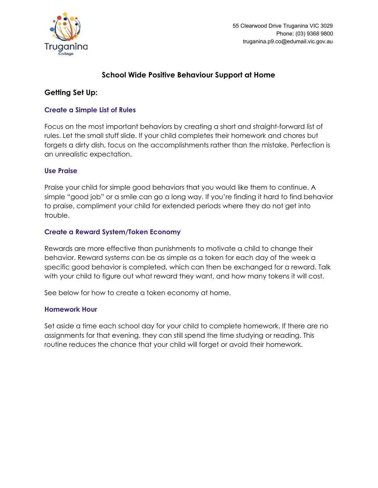

# **School Wide Positive Behaviour Support at Home**

# **Getting Set Up:**

# **Create a Simple List of Rules**

Focus on the most important behaviors by creating a short and straight-forward list of rules. Let the small stuff slide. If your child completes their homework and chores but forgets a dirty dish, focus on the accomplishments rather than the mistake. Perfection is an unrealistic expectation.

# **Use Praise**

Praise your child for simple good behaviors that you would like them to continue. A simple "good job" or a smile can go a long way. If you're finding it hard to find behavior to praise, compliment your child for extended periods where they do not get into trouble.

# **Create a Reward System/Token Economy**

Rewards are more effective than punishments to motivate a child to change their behavior. Reward systems can be as simple as a token for each day of the week a specific good behavior is completed, which can then be exchanged for a reward. Talk with your child to figure out what reward they want, and how many tokens it will cost.

See below for how to create a token economy at home.

# **Homework Hour**

Set aside a time each school day for your child to complete homework. If there are no assignments for that evening, they can still spend the time studying or reading. This routine reduces the chance that your child will forget or avoid their homework.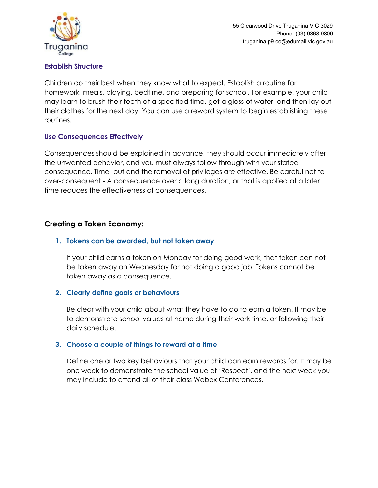

# **Establish Structure**

Children do their best when they know what to expect. Establish a routine for homework, meals, playing, bedtime, and preparing for school. For example, your child may learn to brush their teeth at a specified time, get a glass of water, and then lay out their clothes for the next day. You can use a reward system to begin establishing these routines.

# **Use Consequences Effectively**

Consequences should be explained in advance, they should occur immediately after the unwanted behavior, and you must always follow through with your stated consequence. Time- out and the removal of privileges are effective. Be careful not to over-consequent - A consequence over a long duration, or that is applied at a later time reduces the effectiveness of consequences.

# **Creating a Token Economy:**

# **1. Tokens can be awarded, but not taken away**

If your child earns a token on Monday for doing good work, that token can not be taken away on Wednesday for not doing a good job. Tokens cannot be taken away as a consequence.

# **2. Clearly define goals or behaviours**

Be clear with your child about what they have to do to earn a token. It may be to demonstrate school values at home during their work time, or following their daily schedule.

# **3. Choose a couple of things to reward at a time**

Define one or two key behaviours that your child can earn rewards for. It may be one week to demonstrate the school value of 'Respect', and the next week you may include to attend all of their class Webex Conferences.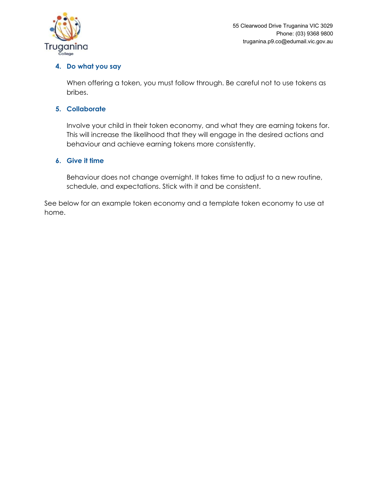

# **4. Do what you say**

When offering a token, you must follow through. Be careful not to use tokens as bribes.

# **5. Collaborate**

Involve your child in their token economy, and what they are earning tokens for. This will increase the likelihood that they will engage in the desired actions and behaviour and achieve earning tokens more consistently.

# **6. Give it time**

Behaviour does not change overnight. It takes time to adjust to a new routine, schedule, and expectations. Stick with it and be consistent.

See below for an example token economy and a template token economy to use at home.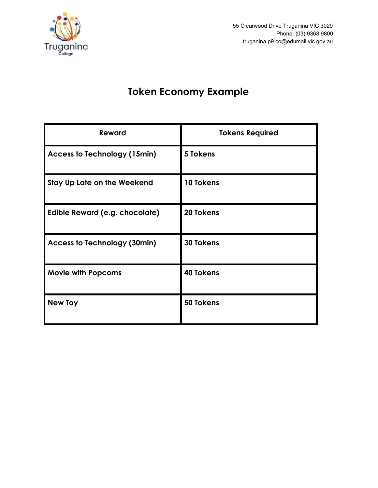

55 Clearwood Drive Truganina VIC 3029 Phone: (03) 9368 9800 truganina.p9.co@edumail.vic.gov.au

# **Token Economy Example**

| <b>Reward</b>                       | <b>Tokens Required</b> |
|-------------------------------------|------------------------|
| <b>Access to Technology (15min)</b> | 5 Tokens               |
| Stay Up Late on the Weekend         | 10 Tokens              |
| Edible Reward (e.g. chocolate)      | 20 Tokens              |
| <b>Access to Technology (30min)</b> | <b>30 Tokens</b>       |
| <b>Movie with Popcorns</b>          | <b>40 Tokens</b>       |
| <b>New Toy</b>                      | 50 Tokens              |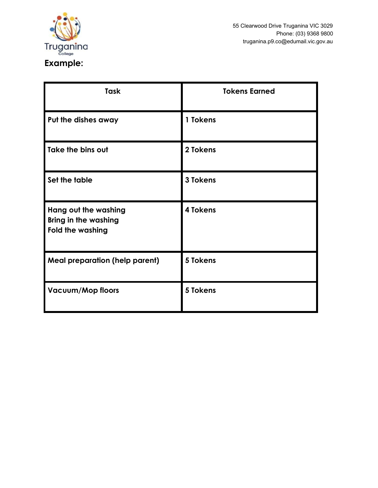

| <b>Task</b>                                                                    | <b>Tokens Earned</b> |
|--------------------------------------------------------------------------------|----------------------|
| Put the dishes away                                                            | 1 Tokens             |
| Take the bins out                                                              | 2 Tokens             |
| Set the table                                                                  | 3 Tokens             |
| Hang out the washing<br><b>Bring in the washing</b><br><b>Fold the washing</b> | 4 Tokens             |
| <b>Meal preparation (help parent)</b>                                          | 5 Tokens             |
| <b>Vacuum/Mop floors</b>                                                       | 5 Tokens             |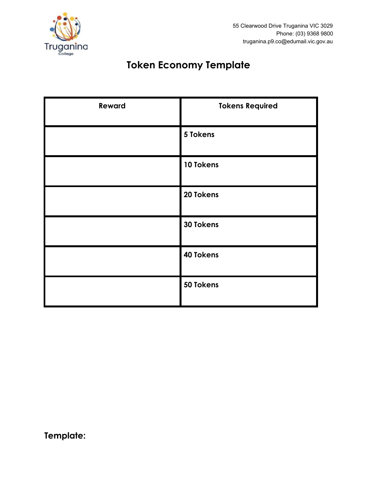

# **Token Economy Template**

| Reward | <b>Tokens Required</b> |
|--------|------------------------|
|        | 5 Tokens               |
|        | 10 Tokens              |
|        | 20 Tokens              |
|        | 30 Tokens              |
|        | 40 Tokens              |
|        | 50 Tokens              |

**Template:**